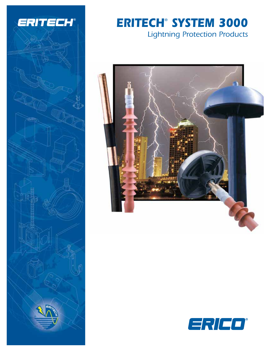

# *ERITECH® SYSTEM 3000 Lightning Protection Products*



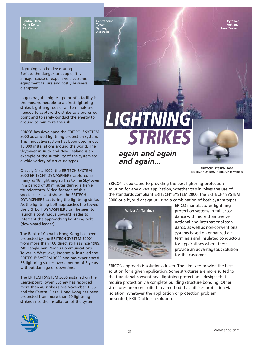**Skytower, Aukland, New Zealand**



Lightning can be devastating. Besides the danger to people, it is a major cause of expensive electronic equipment failure and costly business disruption.

In general, the highest point of a facility is the most vulnerable to a direct lightning strike. Lightning rods or air terminals are needed to capture the strike to a preferred point and to safely conduct the energy to ground to minimize the risk.

ERICO® has developed the ERITECH® SYSTEM 3000 advanced lightning protection system. This innovative system has been used in over 15,000 installations around the world. The Skytower in Auckland New Zealand is an example of the suitability of the system for a wide variety of structure types.

On July 21st, 1999, the ERITECH SYSTEM 3000 ERITECH® DYNASPHERE captured as many as 16 lightning strikes to the Skytower in a period of 30 minutes during a fierce thunderstorm. Video footage of this spectacular event shows the ERITECH DYNASPHERE capturing the lightning strike. As the lightning bolt approaches the tower, the ERITECH DYNASPHERE can be seen to launch a continuous upward leader to intercept the approaching lightning bolt (downward leader).

The Bank of China in Hong Kong has been protected by the ERITECH SYSTEM 3000® from more than 100 direct strikes since 1989. Mt. Tangkuban Perahu Communications Tower in West Java, Indonesia, installed the ERITECH® SYSTEM 3000 and has experienced 56 lightning strikes over a period of 3 years without damage or downtime.

The ERITECH SYSTEM 3000 installed on the Centerpoint Tower, Sydney has recorded more than 40 strikes since November 1995 and the Central Plaza, Hong Kong has been protected from more than 20 lightning strikes since the installation of the system.



# *LIGHTNING STRIKES*

*again and again and again...*



**ERITECH® SYSTEM 3000 ERITECH® DYNASPHERE Air Terminals**

ERICO® is dedicated to providing the best lightning-protection solution for any given application, whether this involves the use of the standards compliant ERITECH® SYSTEM 2000, the ERITECH® SYSTEM 3000 or a hybrid design utilizing a combination of both system types.



ERICO manufactures lightning protection systems in full accordance with more than twelve national and international standards, as well as non-conventional systems based on enhanced air terminals and insulated conductors for applications where these provide an advantageous solution for the customer.

ERICO's approach is solutions driven. The aim is to provide the best solution for a given application. Some structures are more suited to the traditional conventional lightning protection – designs that require protection via complete building structure bonding. Other structures are more suited to a method that utilizes protection via isolation. Whatever the application or protection problem presented, ERICO offers a solution.

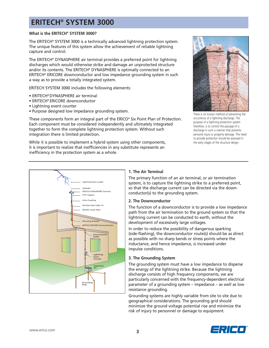#### **What is the ERITECH® SYSTEM 3000?**

The ERITECH® SYSTEM 3000 is a technically advanced lightning protection system. The unique features of this system allow the achievement of reliable lightning capture and control.

The ERITECH® DYNASPHERE air terminal provides a preferred point for lightning discharges which would otherwise strike and damage an unprotected structure and/or its contents. The ERITECH® DYNASPHERE is optimally connected to an ERITECH® ERICORE downconductor and low impedance grounding system in such a way as to provide a totally integrated system.

ERITECH SYSTEM 3000 includes the following elements:

- ERITECH® DYNASPHERE air terminal
- ERITECH® ERICORE downconductor
- Lightning event counter
- Purpose designed low impedance grounding system.

These components form an integral part of the ERICO® Six Point Plan of Protection. Each component must be considered independently and ultimately integrated together to form the complete lightning protection system. Without such integration there is limited protection.

While it is possible to implement a hybrid system using other components, it is important to realize that inefficiencies in any substitute represents an inefficiency in the protection system as a whole.



There is no known method of preventing the occurrence of a lightning discharge. The purpose of a lightning protection system therefore, is to control the passage of a discharge in such a manner that prevents personal injury or property damage. The need to provide protection should be assessed in the early stages of the structure design.



#### **1. The Air Terminal**

The primary function of an air terminal, or air termination system, is to capture the lightning strike to a preferred point, so that the discharge current can be directed via the downconductor(s) to the grounding system.

#### **2. The Downconductor**

The function of a downconductor is to provide a low impedance path from the air termination to the ground system so that the lightning current can be conducted to earth, without the development of excessively large voltages.

In order to reduce the possibility of dangerous sparking (side-flashing), the downconductor route(s) should be as direct as possible with no sharp bends or stress points where the inductance, and hence impedance, is increased under impulse conditions.

#### **3. The Grounding System**

The grounding system must have a low impedance to disperse the energy of the lightning strike. Because the lightning discharge consists of high frequency components, we are particularly concerned with the frequency-dependent electrical parameter of a grounding system – impedance – as well as low resistance grounding.

Grounding systems are highly variable from site to site due to geographical considerations. The grounding grid should minimize the ground voltage potential rise and minimize the risk of injury to personnel or damage to equipment.

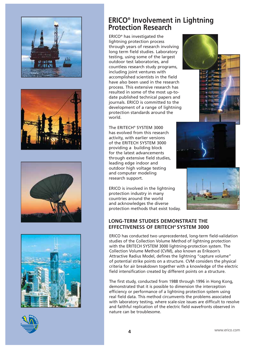









## **ERICO® Involvement in Lightning Protection Research**

ERICO® has investigated the lightning protection process through years of research involving long term field studies. Laboratory testing, using some of the largest outdoor test laboratories, and countless research study programs, including joint ventures with accomplished scientists in the field have also been used in the research process. This extensive research has resulted in some of the most up-todate published technical papers and journals. ERICO is committed to the development of a range of lightning protection standards around the world.

The ERITECH® SYSTEM 3000 has evolved from this research activity, with earlier versions of the ERITECH SYSTEM 3000 providing a building block for the latest advancements through extensive field studies, leading edge indoor and outdoor high voltage testing and computer modeling research support.

ERICO is involved in the lightning protection industry in many countries around the world and acknowledges the diverse protection methods that exist today.







## **LONG-TERM STUDIES DEMONSTRATE THE EFFECTIVENESS OF ERITECH® SYSTEM 3000**

ERICO has conducted two unprecedented, long-term field-validation studies of the Collection Volume Method of lightning protection with the ERITECH SYSTEM 3000 lightning-protection system. The Collection Volume Method (CVM), also known as Eriksson's Attractive Radius Model, defines the lightning "capture volume" of potential strike points on a structure. CVM considers the physical criteria for air breakdown together with a knowledge of the electric field intensification created by different points on a structure.

The first study, conducted from 1988 through 1996 in Hong Kong, demonstrated that it is possible to dimension the interception efficiency or performance of a lightning protection system using real field data. This method circumvents the problems associated with laboratory testing, where scale-size issues are difficult to resolve and faithful replication of the electric field wavefronts observed in nature can be troublesome.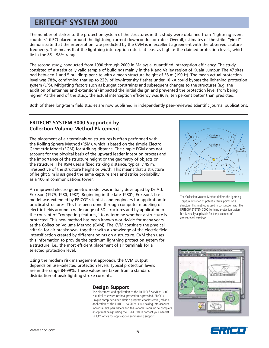The number of strikes to the protection system of the structures in this study were obtained from "lightning event counters" (LEC) placed around the lightning current downconductor cable. Overall, estimates of the strike "yield" demonstrate that the interception rate predicted by the CVM is in excellent agreement with the observed capture frequency. This means that the lightning-interception rate is at least as high as the claimed protection levels, which lie in the 85 – 98% range.

The second study, conducted from 1990 through 2000 in Malaysia, quantified interception efficiency. The study consisted of a statistically valid sample of buildings mainly in the Klang Valley region of Kuala Lumpur. The 47 sites had between 1 and 5 buildings per site with a mean structure height of 58 m (190 ft). The mean actual protection level was 78%, confirming that up to 22% of low-intensity flashes under 10 kA could bypass the lightning protection system (LPS). Mitigating factors such as budget constraints and subsequent changes to the structures (e.g. the addition of antennas and extensions) impacted the initial design and prevented the protection level from being higher. At the end of the study, the actual interception efficiency was 86%, ten percent better than predicted.

Both of these long-term field studies are now published in independently peer-reviewed scientific journal publications.

### **ERITECH® SYSTEM 3000 Supported by Collection Volume Method Placement**

The placement of air terminals on structures is often performed with the Rolling Sphere Method (RSM), which is based on the simple Electro Geometric Model (EGM) for striking distance. The simple EGM does not account for the physical basis of the upward leader inception process and the importance of the structure height or the geometry of objects on the structure. The RSM uses a fixed striking distance, typically 45 m, irrespective of the structure height or width. This means that a structure of height 5 m is assigned the same capture area and strike probability as a 100 m communications tower.

An improved electro geometric model was initially developed by Dr A.J. Eriksson (1979, 1980, 1987). Beginning in the late 1980's, Eriksson's basic model was extended by ERICO® scientists and engineers for application to practical structures. This has been done through computer modeling of electric fields around a wide range of 3D structures and by application of the concept of "competing features," to determine whether a structure is protected. This new method has been known worldwide for many years as the Collection Volume Method (CVM). The CVM considers the physical criteria for air breakdown, together with a knowledge of the electric field intensification created by different points on a structure. CVM then uses this information to provide the optimum lightning protection system for a structure, i.e., the most efficient placement of air terminals for a selected protection level.

Using the modern risk management approach, the CVM output depends on user-selected protection levels. Typical protection levels are in the range 84-99%. These values are taken from a standard distribution of peak lighting stroke currents.

*Design Support* The placement and application of the ERITECH® SYSTEM 3000 is critical to ensure optimal protection is provided. ERICO's unique computer aided design program enables easier, reliable application of the ERITECH SYSTEM 3000, taking into account individual site parameters and the variables required to complete an optimal design using the CVM. Please contact your nearest ERICO® office for applications engineering support.



The Collection Volume Method defines the lightning "capture volume" of potential strike points on a structure. This method is used in conjunction with the ERITECH® SYSTEM 3000 lightning protection system but is equally applicable for the placement of conventional terminals.



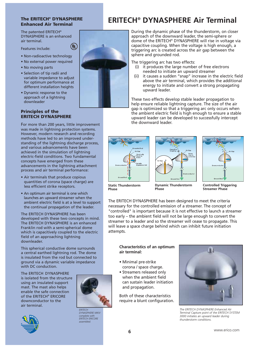#### **The ERITECH® DYNASPHERE Enhanced Air Terminal**

 $(\P)$ 

The patented ERITECH® DYNASPHERE is an enhanced air terminal.

Features include:

- Non-radioactive technology
- No external power required
- No moving parts
- Selection of tip radii and variable impedance to adjust for optimum performance at different installation heights
- Dynamic response to the approach of a lightning downleader

#### **Principles of the ERITECH DYNASPHERE**

For more than 200 years, little improvement was made in lightning protection systems. However, modern research and recording methods have led to an improved understanding of the lightning discharge process, and various advancements have been achieved in the simulation of lightning electric-field conditions. Two fundamental concepts have emerged from these advancements in the lightning attachment process and air terminal performance:

- Air terminals that produce copious quantities of corona (space charge) are less efficient strike receptors.
- An optimum air terminal is one which launches an upward streamer when the ambient electric field is at a level to support the continual propagation of the leader.

The ERITECH DYNASPHERE has been developed with these two concepts in mind. The ERITECH DYNASPHERE is an enhanced Franklin rod with a semi-spherical dome which is capacitively coupled to the electric field of an approaching lightning downleader.

This spherical conductive dome surrounds a central earthed lightning rod. The dome is insulated from the rod but connected to ground via a dynamic variable impedance with DC conduction.

The ERITECH DYNASPHERE is isolated from the structure using an insulated support mast. The mast also helps enable the safe connection of the ERITECH® ERICORE downconductor to the air terminal.



*ERITECH DYNASPHERE MKIV complete with ERITECH ERICORE assembled.*



During the dynamic phase of the thunderstorm, on closer approach of the downward leader, the semi-sphere or dome of the ERITECH® DYNASPHERE will rise in voltage via capacitive coupling. When the voltage is high enough, a triggering arc is created across the air gap between the sphere and grounded rod.

The triggering arc has two effects:

- (i) it produces the large number of free electrons needed to initiate an upward streamer
- (ii) it causes a sudden "snap" increase in the electric field above the air terminal, which provides the additional energy to initiate and convert a strong propagating upward leader.

These two effects develop stable leader propagation to help ensure reliable lightning capture. The size of the air gap is optimized so that a triggering arc only occurs when the ambient electric field is high enough to ensure a stable upward leader can be developed to successfully intercept the downward leader.







**Static Thunderstorm Phase**

**Dynamic Thunderstorm Phase**

**Controlled Triggering Streamer Phase**

The ERITECH DYNASPHERE has been designed to meet the criteria necessary for the controlled emission of a streamer. The concept of "controlled" is important because it is not effective to launch a streamer too early – the ambient field will not be large enough to convert the streamer to a leader and so the streamer will cease to propagate. This will leave a space charge behind which can inhibit future initiation attempts.

#### **Characteristics of an optimum air terminal:**

- Minimal pre-strike corona / space charge.
- Streamers released only when the ambient field can sustain leader initiation and propagation.

Both of these characteristics require a blunt configuration.



*The ERITECH DYNASPHERE Enhanced Air Terminal Capture point of the ERITECH SYSTEM 3000 initiates an upward leader during thunderstorm conditions.*

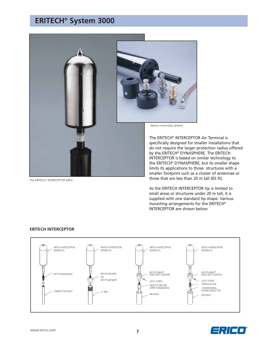## **ERITECH® System 3000**



*The ERITECH® INTERCEPTOR MKIV.*

The ERITECH® INTERCEPTOR Air Terminal is specifically designed for smaller installations that do not require the larger protection radius offered by the ERITECH® DYNASPHERE. The ERITECH INTERCEPTOR is based on similar technology to the ERITECH® DYNASPHERE, but its smaller shape limits its applications to those structures with a smaller footprint such as a cluster of antennae or those that are less than 20 m tall (65 ft).

As the ERITECH INTERCEPTOR tip is limited to small areas or structures under 20 m tall, it is supplied with one standard tip shape. Various mounting arrangements for the ERITECH® INTERCEPTOR are shown below:

#### **ERITECH INTERCEPTOR**



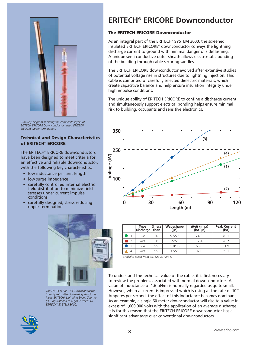

*Cutaway diagram showing the composite layers of ERITECH ERICORE Downconductor. Inset: ERITECH ERICORE upper termination.*

#### **Technical and Design Characteristics of ERITECH® ERICORE**

The ERITECH® ERICORE downconductors have been designed to meet criteria for an effective and reliable downconductor, with the following key characteristics:

- low inductance per unit length
- low surge impedance
- carefully controlled internal electric field distribution to minimize field stresses under current impulse conditions
- carefully designed, stress reducing upper termination



*The ERITECH ERICORE Downconductor is easily retrofitted to existing structures. Inset: ERITECH® Lightning Event Counter (LEC IV) installed to register strikes to ERITECH® SYSTEM 3000.*

## **ERITECH® ERICORE Downconductor**

#### **The ERITECH ERICORE Downconductor**

As an integral part of the ERITECH® SYSTEM 3000, the screened. insulated ERITECH ERICORE® downconductor conveys the lightning discharge current to ground with minimal danger of sideflashing. A unique semi-conductive outer sheath allows electrostatic bonding of the building through cable securing saddles.

The ERITECH ERICORE downconductor evolved after extensive studies of potential voltage rise in structures due to lightning injection. This cable is comprised of carefully selected dielectric materials, which create capacitive balance and help ensure insulation integrity under high impulse conditions.

The unique ability of ERITECH ERICORE to confine a discharge current and simultaneously support electrical bonding helps ensure minimal risk to building, occupants and sensitive electronics.



|                          | Type<br>Discharge | $%$ less<br>than | Waveshape<br>$(\mu s)$ | di/dt (max)<br>$(kA/\mu s)$ | <b>Peak Current</b><br>(kA) |
|--------------------------|-------------------|------------------|------------------------|-----------------------------|-----------------------------|
|                          | $-ve$             | 50               | 5.5/75                 | 24.3                        | 70.1                        |
| $\overline{\phantom{0}}$ | $+ve$             | 50               | 22/230                 | 2.4                         | 28.7                        |
| $\rightarrow$            | $-ve$             | 95               | 1.8/30                 | 65.0                        | 51.9                        |
| 4                        | $+ve$             | 95               | 3.5/25                 | 32.0                        | 59.1                        |

*Statistics taken from IEC 62305 Part 1.*

To understand the technical value of the cable, it is first necessary to review the problems associated with normal downconductors. A value of inductance of 1.6 μH/m is normally regarded as quite small. However, when a current is impressed which is rising at the rate of  $10<sup>10</sup>$ Amperes per second, the effect of this inductance becomes dominant. As an example, a single 60 meter downconductor will rise to a value in excess of 1,000,000 volts with the application of an average discharge. It is for this reason that the ERITECH ERICORE downconductor has a significant advantage over conventional downconductors.

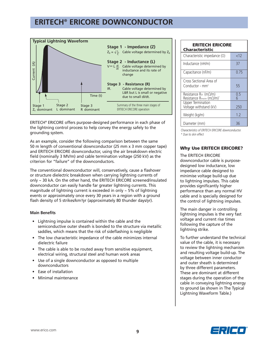## **ERITECH® ERICORE DOWNCONDUCTOR**



ERITECH® ERICORE offers purpose-designed performance in each phase of the lightning control process to help convey the energy safely to the grounding system.

As an example, consider the following comparison between the same 50 m length of conventional downconductor (25 mm x 3 mm copper tape) and ERITECH ERICORE downconductor, using the air breakdown electric field (nominally 3 MV/m) and cable termination voltage (250 kV) as the criterion for "failure" of the downconductors.

The conventional downconductor will, conservatively, cause a flashover or structure dielectric breakdown when carrying lightning currents of only ~ 30 kA. On the other hand, the ERITECH ERICORE screened/insulated downconductor can easily handle far greater lightning currents. This magnitude of lightning current is exceeded in only  $\sim$  5% of lightning events or approximately once every 30 years in a region with a ground flash density of 5 strikes/km<sup>2</sup>/yr (approximately 80 thunder days/yr).

#### **Main Benefits**

- Lightning impulse is contained within the cable and the semiconductive outer sheath is bonded to the structure via metallic saddles, which means that the risk of sideflashing is negligible
- The low characteristic impedance of the cable minimizes internal dielectric failure
- The cable is able to be routed away from sensitive equipment, electrical wiring, structural steel and human work areas
- Use of a single downconductor as opposed to multiple downconductors
- Ease of installation
- Minimal maintenance

| <b>ERITECH ERICORE</b><br>Characteristic             |          |  |  |  |  |
|------------------------------------------------------|----------|--|--|--|--|
| Characteristic impedance $(\Omega)$                  | < 12     |  |  |  |  |
| Inductance (nH/m)                                    | 37       |  |  |  |  |
| Capacitance (nF/m)                                   | 0.75     |  |  |  |  |
| Cross Sectional Area of<br>Conductor - $mm2$         | 55       |  |  |  |  |
| Resistance RDc (mΩ/m)<br>Resistance Rimpulse (mΩ/m)* | 0.5<br>6 |  |  |  |  |
| <b>Upper Termination</b><br>Voltage withstand (kV)   | 250      |  |  |  |  |
| Weight (kg/m)                                        | 1.2      |  |  |  |  |
| Diameter (mm)                                        | 36       |  |  |  |  |

*Characteristics of ERITECH ERICORE downconductor. \* Due to skin effect*

#### **Why Use ERITECH ERICORE?**

The ERITECH ERICORE downconductor cable is purposedesigned low inductance, low impedance cable designed to minimise voltage build-up due to lightning impulses. This cable provides significantly higher performance than any normal HV cable and is specially designed for the control of lightning impulses.

The main danger in controlling lightning impulses is the very fast voltage and current rise times following the capture of the lightning strike.

To further understand the technical value of the cable, it is necessary to review the lightning mechanism and resulting voltage build-up. The voltage between inner conductor and outer sheath is determined by three different parameters. These are dominant at different stages during the operation of the cable in conveying lightning energy to ground (as shown in The Typical Lightning Waveform Table.)

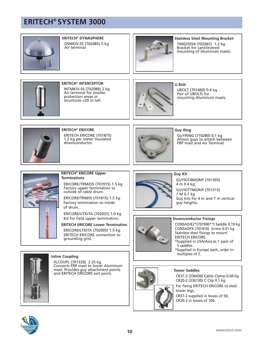

#### **ERITECH® DYNASPHERE** DSMKIV-SS (702085) 5 kg Air terminal



**Stainless Steel Mounting Bracket** 7000250S4 (702065) 1.2 kg Bracket for cantilevered mounting of Aluminum masts.



**ERITECH® INTERCEPTOR** INTMKIV-SS (702089) 2 kg Air terminal for smaller protection areas or structures <20 m tall.



**U Bolt** UBOLT (701460) 0.4 kg Pair of UBOLTs for mounting Aluminum masts.



#### **ERITECH® ERICORE** ERITECH ERICORE (701875) 1.2 kg per meter Insulated downconductor.



#### **Guy Ring**

GUYRING (710280) 0.1 kg Allows guys to attach between FRP mast and Air Terminal.



#### **ERITECH® ERICORE Upper Terminations**

ERICORE/TRM/OS (701915) 1.5 kg Factory upper termination to outside of cable drum.

ERICORE/TRM/IS (701815) 1.5 kg Factory termination to inside of drum.

ERICORE/UTKITA (702025) 1.0 kg Kit for field upper termination.

**ERITECH ERICORE Lower Termination** ERICORE/LTKITA (702005) 1.5 kg

ERITECH ERICORE connection to grounding grid.



## **Guy Kit**

GUYKIT4MGRIP (701305) 4 m 0.4 kg GUYKIT7MGRIP (701315) 7 M 0.7 kg Guy kits for 4 m and 7 m vertical guy heights.



#### **Downconductor Fixings**

CONSAD/E2\*(701990\*\*) Saddle 0.19 kg CONSADFX (701410) Screw 0.01 kg Stainless steel fixings to mount ERITECH ERICORE.

- \*Supplied in USA/Asia as 1 pack of 5 saddles.
- \*Supplied in Europe each, order in multiples of 5.



#### **Inline Coupling**

I/LCOUPL (701320) 2.25 kg Connects FRP mast to lower Aluminum mast. Provides guy attachment points and ERITECH ERICORE exit point.



#### **Tower Saddles**

CR37-2 (336430) Cable Clamp 0.04 kg CR20-2 (336130) C Clip 0.1 kg For fixing ERITECH ERICORE to steel tower legs. CR37-2 supplied in boxes of 50, CR20-2 in boxes of 100.

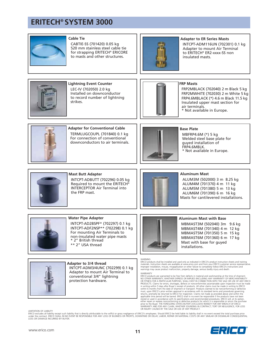

#### **Cable Tie**

CABTIE-SS (701420) 0.05 kg 520 mm stainless steel cable tie for strapping ERITECH® ERICORE to masts and other structures.



#### **Adapter to ER Series Masts**

INTCPT-ADM116UN (702301) 0.1 kg Adapter to mount Air Terminal to ERITECH® ER2-xxxx-SS non insulated masts.



**Lightning Event Counter** LEC-IV (702050) 2.0 kg Installed on downconductor to record number of lightning strikes.



#### **FRP Masts**

FRP2MBLACK (702040) 2 m Black 5 kg FRP2MWHITE (702030) 2 m White 5 kg FRP4.6MBLACK (\*) 4.6 m Black 11.5 kg Insulated upper mast section for air terminals. \* Not available in Europe.



**Adapter for Conventional Cable** TERMLUGCOUPL (701840) 0.1 kg For connection of conventional downconductors to air terminals.



**Base Plate**

MBFRP4.6M (\*) 5 kg Welded steel base plate for guyed installation of FRP4.6MBLK. \* Not available in Europe.



#### **Mast Butt Adapter** INTCPT-ADBUTT (702296) 0.05 kg Required to mount the ERITECH® INTERCEPTOR Air Terminal into



#### **Aluminum Mast**

ALUM3M (502000) 3 m 8.25 kg ALUM4M (701370) 4 m 11 kg ALUM5M (701380) 5 m 13 kg ALUM6M (701390) 6 m 16 kg Masts for cantilevered installations.



#### **Water Pipe Adapter**

the FRP mast.

INTCPT-AD2BSPF\* (702297) 0.1 kg INTCPT-ADF2NSP\*\* (702298) 0.1 kg For mounting Air Terminals to non-insulated water pipe masts \* 2" British thread \*\* 2" USA thread



## **Adapter to 3/4 thread**

INTCPT-ADM3/4UNC (702299) 0.1 kg Adapter to mount Air Terminal to conventional 3/4" lightning protection hardware.

**Aluminum Mast with Base**

MBMAST3M (502040) 3m 9.6 kg MBMAST4M (701340) 4 m 12 kg MBMAST5M (701350) 5 m 15 kg MBMAST6M (701360) 6 m 17 kg Mast with base for guyed installations.

WARNING<br>ERICO products shall be installed and used only as indicated in ERICO's product instruction sheets and training<br>materials. Instruction sheets are available at www.erico.com and from your ERICO customer service repr Improper installation, misuse, misapplication or other failure to completely follow ERICO's instructions and warnings may cause product malfunction, property damage, serious bodily injury and death.

#### WARRANTY

ERICO products are warranted to be free from defects in material and workmanship at the time of shipment.<br>NO OTHER WARRANTY, WHETHER EXPRESS OR IMPLIED (INCLUDING ANY WARRANTY OF MERCHANTABILITY<br>OR FITNESS FOR A PARTICULAR PRODUCTS. Claims for errors, shortages, defects or nonconformities ascertainable upon inspection must be made<br>in writing within 5 days after Buyer's receipt of products. All other claims must be made in writing to ENICO<br>wi returns, promptly be returned to ERICO for inspection. Claims not made as provided above and within the<br>applicable time period will be barred. ERICO shall in no event be responsible if the products have not been<br>stored or either repair or replace nonconforming or defective products for which it is responsible or return the purchase price to the Buyer. THE FOREGOING STATES BUYER'S EXCLUSIVE REMEDY FOR ANY BREACH OF ERICO WARRANTY AND FOR ANY CLAIM, WHETHER SOUNDING IN CONTRACT, TORT OR NEGLIGENCE, FOR LOSS OR INJURY CAUSED BY THE SALE OR USE OF ANY PRODUCT.

LIMITATION OF LIABILITY

ERICO excludes all liability except such liability that is directly attributable to the willful or gross negligence of ERICO's employees. Should ERICO be held liable its liability shall in no event exceed the total purchas LOSS OR DAMAGE INCURRED BY BUYER.